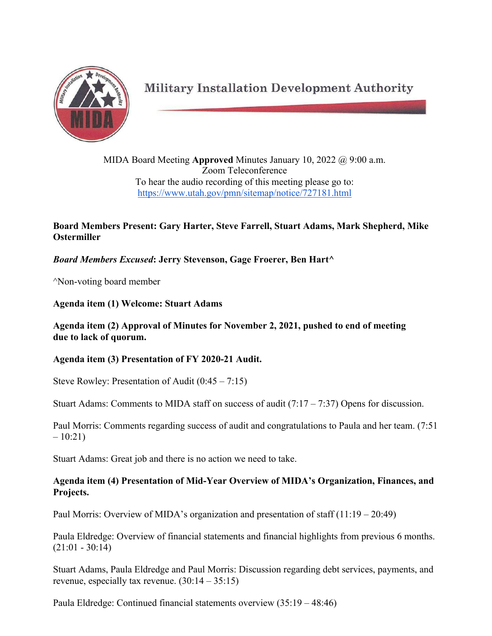

**Military Installation Development Authority** 

MIDA Board Meeting **Approved** Minutes January 10, 2022 @ 9:00 a.m. Zoom Teleconference To hear the audio recording of this meeting please go to: https://www.utah.gov/pmn/sitemap/notice/727181.html

# **Board Members Present: Gary Harter, Steve Farrell, Stuart Adams, Mark Shepherd, Mike Ostermiller**

*Board Members Excused***: Jerry Stevenson, Gage Froerer, Ben Hart^**

^Non-voting board member

**Agenda item (1) Welcome: Stuart Adams**

## **Agenda item (2) Approval of Minutes for November 2, 2021, pushed to end of meeting due to lack of quorum.**

**Agenda item (3) Presentation of FY 2020-21 Audit.**

Steve Rowley: Presentation of Audit (0:45 – 7:15)

Stuart Adams: Comments to MIDA staff on success of audit  $(7.17 - 7.37)$  Opens for discussion.

Paul Morris: Comments regarding success of audit and congratulations to Paula and her team. (7:51  $-10:21$ 

Stuart Adams: Great job and there is no action we need to take.

## **Agenda item (4) Presentation of Mid-Year Overview of MIDA's Organization, Finances, and Projects.**

Paul Morris: Overview of MIDA's organization and presentation of staff  $(11:19 - 20:49)$ 

Paula Eldredge: Overview of financial statements and financial highlights from previous 6 months.  $(21:01 - 30:14)$ 

Stuart Adams, Paula Eldredge and Paul Morris: Discussion regarding debt services, payments, and revenue, especially tax revenue. (30:14 – 35:15)

Paula Eldredge: Continued financial statements overview (35:19 – 48:46)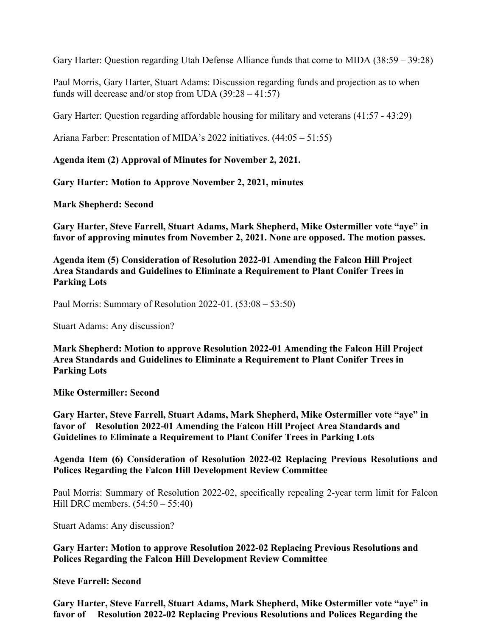Gary Harter: Question regarding Utah Defense Alliance funds that come to MIDA (38:59 – 39:28)

Paul Morris, Gary Harter, Stuart Adams: Discussion regarding funds and projection as to when funds will decrease and/or stop from UDA  $(39:28 - 41:57)$ 

Gary Harter: Question regarding affordable housing for military and veterans (41:57 - 43:29)

Ariana Farber: Presentation of MIDA's 2022 initiatives. (44:05 – 51:55)

**Agenda item (2) Approval of Minutes for November 2, 2021.** 

**Gary Harter: Motion to Approve November 2, 2021, minutes** 

**Mark Shepherd: Second**

**Gary Harter, Steve Farrell, Stuart Adams, Mark Shepherd, Mike Ostermiller vote "aye" in favor of approving minutes from November 2, 2021. None are opposed. The motion passes.**

**Agenda item (5) Consideration of Resolution 2022-01 Amending the Falcon Hill Project Area Standards and Guidelines to Eliminate a Requirement to Plant Conifer Trees in Parking Lots**

Paul Morris: Summary of Resolution 2022-01. (53:08 – 53:50)

Stuart Adams: Any discussion?

**Mark Shepherd: Motion to approve Resolution 2022-01 Amending the Falcon Hill Project Area Standards and Guidelines to Eliminate a Requirement to Plant Conifer Trees in Parking Lots**

**Mike Ostermiller: Second**

**Gary Harter, Steve Farrell, Stuart Adams, Mark Shepherd, Mike Ostermiller vote "aye" in favor of Resolution 2022-01 Amending the Falcon Hill Project Area Standards and Guidelines to Eliminate a Requirement to Plant Conifer Trees in Parking Lots**

**Agenda Item (6) Consideration of Resolution 2022-02 Replacing Previous Resolutions and Polices Regarding the Falcon Hill Development Review Committee**

Paul Morris: Summary of Resolution 2022-02, specifically repealing 2-year term limit for Falcon Hill DRC members. (54:50 – 55:40)

Stuart Adams: Any discussion?

**Gary Harter: Motion to approve Resolution 2022-02 Replacing Previous Resolutions and Polices Regarding the Falcon Hill Development Review Committee**

**Steve Farrell: Second**

**Gary Harter, Steve Farrell, Stuart Adams, Mark Shepherd, Mike Ostermiller vote "aye" in favor of Resolution 2022-02 Replacing Previous Resolutions and Polices Regarding the**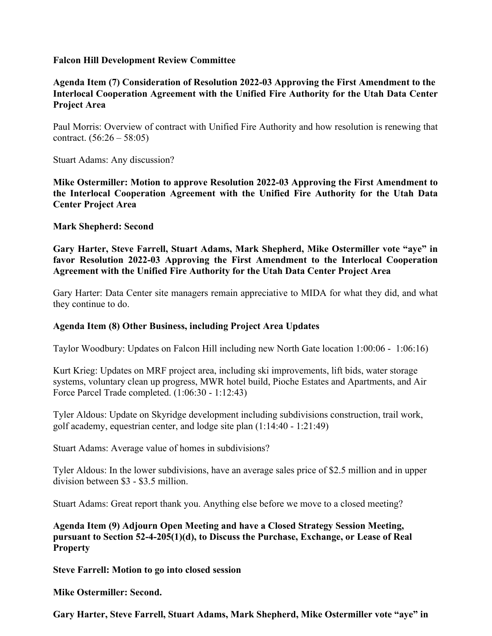#### **Falcon Hill Development Review Committee**

**Agenda Item (7) Consideration of Resolution 2022-03 Approving the First Amendment to the Interlocal Cooperation Agreement with the Unified Fire Authority for the Utah Data Center Project Area**

Paul Morris: Overview of contract with Unified Fire Authority and how resolution is renewing that contract.  $(56:26 - 58:05)$ 

Stuart Adams: Any discussion?

**Mike Ostermiller: Motion to approve Resolution 2022-03 Approving the First Amendment to the Interlocal Cooperation Agreement with the Unified Fire Authority for the Utah Data Center Project Area**

**Mark Shepherd: Second**

**Gary Harter, Steve Farrell, Stuart Adams, Mark Shepherd, Mike Ostermiller vote "aye" in favor Resolution 2022-03 Approving the First Amendment to the Interlocal Cooperation Agreement with the Unified Fire Authority for the Utah Data Center Project Area**

Gary Harter: Data Center site managers remain appreciative to MIDA for what they did, and what they continue to do.

### **Agenda Item (8) Other Business, including Project Area Updates**

Taylor Woodbury: Updates on Falcon Hill including new North Gate location 1:00:06 - 1:06:16)

Kurt Krieg: Updates on MRF project area, including ski improvements, lift bids, water storage systems, voluntary clean up progress, MWR hotel build, Pioche Estates and Apartments, and Air Force Parcel Trade completed. (1:06:30 - 1:12:43)

Tyler Aldous: Update on Skyridge development including subdivisions construction, trail work, golf academy, equestrian center, and lodge site plan (1:14:40 - 1:21:49)

Stuart Adams: Average value of homes in subdivisions?

Tyler Aldous: In the lower subdivisions, have an average sales price of \$2.5 million and in upper division between \$3 - \$3.5 million.

Stuart Adams: Great report thank you. Anything else before we move to a closed meeting?

**Agenda Item (9) Adjourn Open Meeting and have a Closed Strategy Session Meeting, pursuant to Section 52-4-205(1)(d), to Discuss the Purchase, Exchange, or Lease of Real Property**

**Steve Farrell: Motion to go into closed session**

**Mike Ostermiller: Second.** 

**Gary Harter, Steve Farrell, Stuart Adams, Mark Shepherd, Mike Ostermiller vote "aye" in**